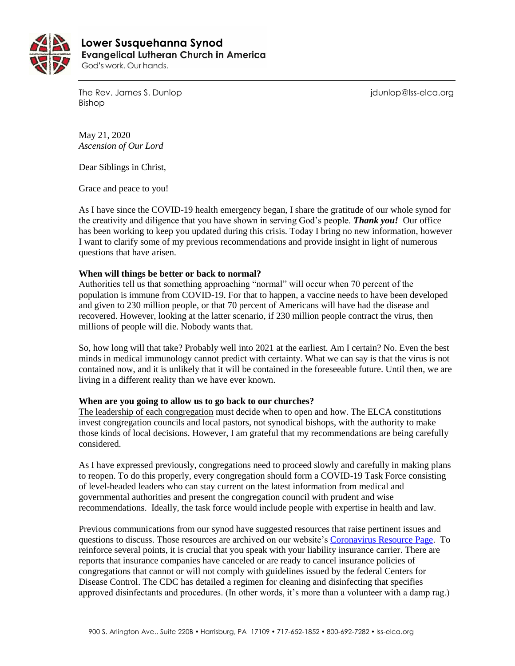

 **Lower Susquehanna SynodEvangelical Lutheran Church in America** God's work. Our hands.

The Rev. James S. Dunlop journalism is a state of the Rev. James S. Dunlop is a state of the Rev. James S. Dunlop Bishop

May 21, 2020 *Ascension of Our Lord*

Dear Siblings in Christ,

Grace and peace to you!

As I have since the COVID-19 health emergency began, I share the gratitude of our whole synod for the creativity and diligence that you have shown in serving God's people. *Thank you!* Our office has been working to keep you updated during this crisis. Today I bring no new information, however I want to clarify some of my previous recommendations and provide insight in light of numerous questions that have arisen.

# **When will things be better or back to normal?**

Authorities tell us that something approaching "normal" will occur when 70 percent of the population is immune from COVID-19. For that to happen, a vaccine needs to have been developed and given to 230 million people, or that 70 percent of Americans will have had the disease and recovered. However, looking at the latter scenario, if 230 million people contract the virus, then millions of people will die. Nobody wants that.

So, how long will that take? Probably well into 2021 at the earliest. Am I certain? No. Even the best minds in medical immunology cannot predict with certainty. What we can say is that the virus is not contained now, and it is unlikely that it will be contained in the foreseeable future. Until then, we are living in a different reality than we have ever known.

## **When are you going to allow us to go back to our churches?**

The leadership of each congregation must decide when to open and how. The ELCA constitutions invest congregation councils and local pastors, not synodical bishops, with the authority to make those kinds of local decisions. However, I am grateful that my recommendations are being carefully considered.

As I have expressed previously, congregations need to proceed slowly and carefully in making plans to reopen. To do this properly, every congregation should form a COVID-19 Task Force consisting of level-headed leaders who can stay current on the latest information from medical and governmental authorities and present the congregation council with prudent and wise recommendations. Ideally, the task force would include people with expertise in health and law.

Previous communications from our synod have suggested resources that raise pertinent issues and questions to discuss. Those resources are archived on our website'[s Coronavirus Resource Page.](https://www.lss-elca.org/coronavirus) To reinforce several points, it is crucial that you speak with your liability insurance carrier. There are reports that insurance companies have canceled or are ready to cancel insurance policies of congregations that cannot or will not comply with guidelines issued by the federal Centers for Disease Control. The CDC has detailed a regimen for cleaning and disinfecting that specifies approved disinfectants and procedures. (In other words, it's more than a volunteer with a damp rag.)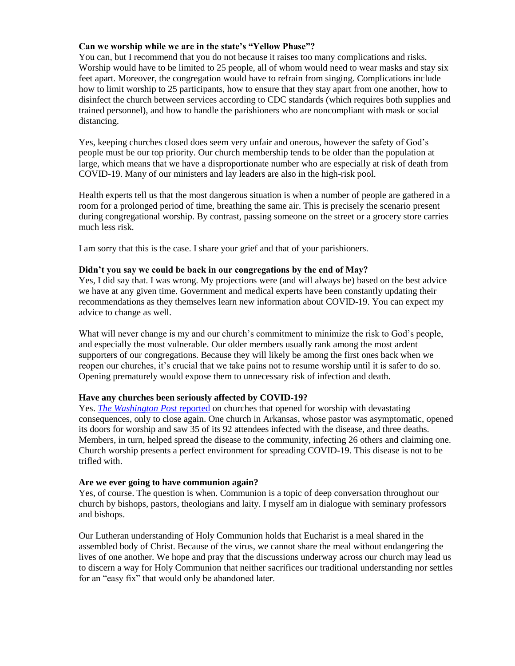# **Can we worship while we are in the state's "Yellow Phase"?**

You can, but I recommend that you do not because it raises too many complications and risks. Worship would have to be limited to 25 people, all of whom would need to wear masks and stay six feet apart. Moreover, the congregation would have to refrain from singing. Complications include how to limit worship to 25 participants, how to ensure that they stay apart from one another, how to disinfect the church between services according to CDC standards (which requires both supplies and trained personnel), and how to handle the parishioners who are noncompliant with mask or social distancing.

Yes, keeping churches closed does seem very unfair and onerous, however the safety of God's people must be our top priority. Our church membership tends to be older than the population at large, which means that we have a disproportionate number who are especially at risk of death from COVID-19. Many of our ministers and lay leaders are also in the high-risk pool.

Health experts tell us that the most dangerous situation is when a number of people are gathered in a room for a prolonged period of time, breathing the same air. This is precisely the scenario present during congregational worship. By contrast, passing someone on the street or a grocery store carries much less risk.

I am sorry that this is the case. I share your grief and that of your parishioners.

## **Didn't you say we could be back in our congregations by the end of May?**

Yes, I did say that. I was wrong. My projections were (and will always be) based on the best advice we have at any given time. Government and medical experts have been constantly updating their recommendations as they themselves learn new information about COVID-19. You can expect my advice to change as well.

What will never change is my and our church's commitment to minimize the risk to God's people, and especially the most vulnerable. Our older members usually rank among the most ardent supporters of our congregations. Because they will likely be among the first ones back when we reopen our churches, it's crucial that we take pains not to resume worship until it is safer to do so. Opening prematurely would expose them to unnecessary risk of infection and death.

## **Have any churches been seriously affected by COVID-19?**

Yes. *[The Washington Post](https://www.washingtonpost.com/religion/2020/05/19/two-churches-reclose-after-faith-leaders-congregants-get-coronavirus/)* reported on churches that opened for worship with devastating consequences, only to close again. One church in Arkansas, whose pastor was asymptomatic, opened its doors for worship and saw 35 of its 92 attendees infected with the disease, and three deaths. Members, in turn, helped spread the disease to the community, infecting 26 others and claiming one. Church worship presents a perfect environment for spreading COVID-19. This disease is not to be trifled with.

#### **Are we ever going to have communion again?**

Yes, of course. The question is when. Communion is a topic of deep conversation throughout our church by bishops, pastors, theologians and laity. I myself am in dialogue with seminary professors and bishops.

Our Lutheran understanding of Holy Communion holds that Eucharist is a meal shared in the assembled body of Christ. Because of the virus, we cannot share the meal without endangering the lives of one another. We hope and pray that the discussions underway across our church may lead us to discern a way for Holy Communion that neither sacrifices our traditional understanding nor settles for an "easy fix" that would only be abandoned later.